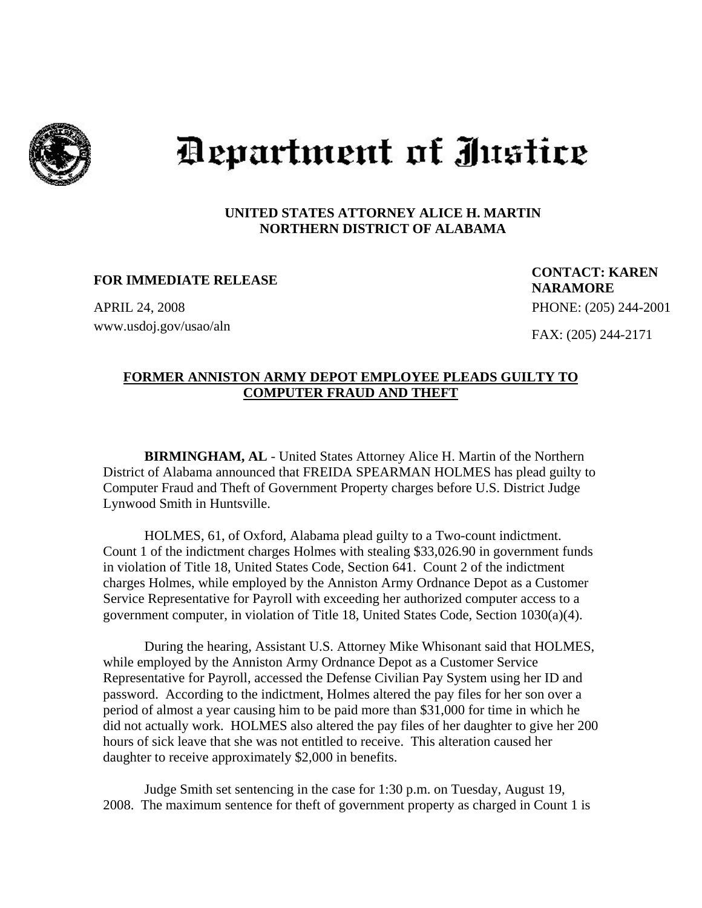

## Department of Justice

## **UNITED STATES ATTORNEY ALICE H. MARTIN NORTHERN DISTRICT OF ALABAMA**

www.usdoj.gov/usao/aln

 **FOR IMMEDIATE RELEASE CONTACT: KAREN NARAMORE**  APRIL 24, 2008 PHONE: (205) 244-2001 FAX: (205) 244-2171

## **FORMER ANNISTON ARMY DEPOT EMPLOYEE PLEADS GUILTY TO COMPUTER FRAUD AND THEFT**

 **BIRMINGHAM, AL** - United States Attorney Alice H. Martin of the Northern District of Alabama announced that FREIDA SPEARMAN HOLMES has plead guilty to Computer Fraud and Theft of Government Property charges before U.S. District Judge Lynwood Smith in Huntsville.

 HOLMES, 61, of Oxford, Alabama plead guilty to a Two-count indictment. Count 1 of the indictment charges Holmes with stealing \$33,026.90 in government funds in violation of Title 18, United States Code, Section 641. Count 2 of the indictment charges Holmes, while employed by the Anniston Army Ordnance Depot as a Customer Service Representative for Payroll with exceeding her authorized computer access to a government computer, in violation of Title 18, United States Code, Section 1030(a)(4).

 During the hearing, Assistant U.S. Attorney Mike Whisonant said that HOLMES, while employed by the Anniston Army Ordnance Depot as a Customer Service Representative for Payroll, accessed the Defense Civilian Pay System using her ID and password. According to the indictment, Holmes altered the pay files for her son over a period of almost a year causing him to be paid more than \$31,000 for time in which he did not actually work. HOLMES also altered the pay files of her daughter to give her 200 hours of sick leave that she was not entitled to receive. This alteration caused her daughter to receive approximately \$2,000 in benefits.

 Judge Smith set sentencing in the case for 1:30 p.m. on Tuesday, August 19, 2008. The maximum sentence for theft of government property as charged in Count 1 is